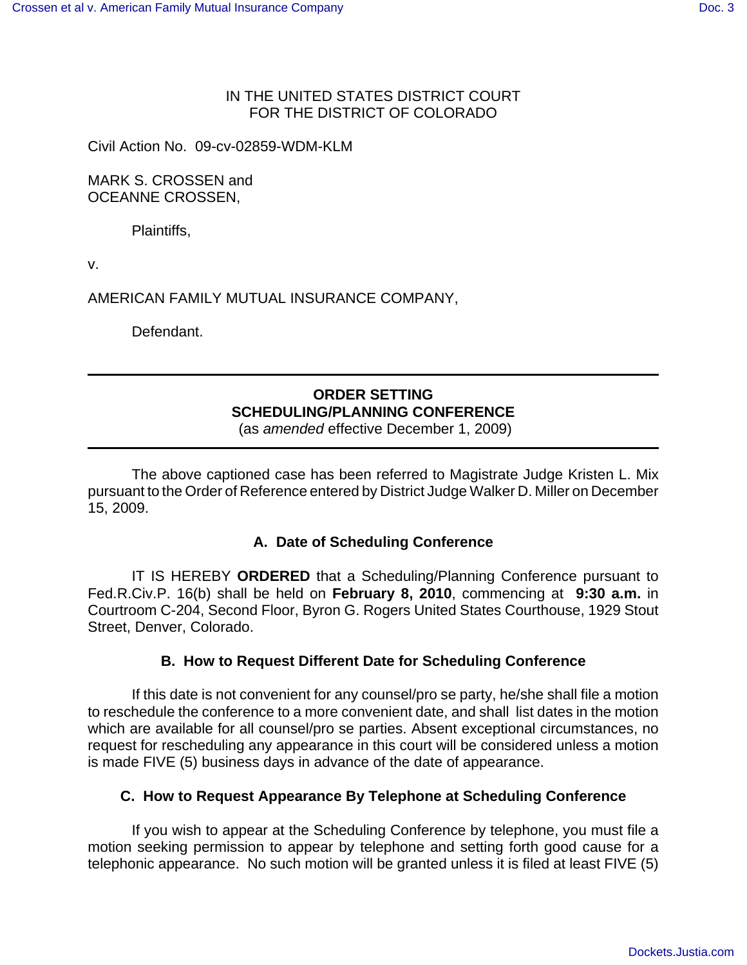### IN THE UNITED STATES DISTRICT COURT FOR THE DISTRICT OF COLORADO

Civil Action No. 09-cv-02859-WDM-KLM

MARK S. CROSSEN and OCEANNE CROSSEN,

Plaintiffs,

v.

AMERICAN FAMILY MUTUAL INSURANCE COMPANY,

Defendant.

# **ORDER SETTING SCHEDULING/PLANNING CONFERENCE**

(as *amended* effective December 1, 2009)

The above captioned case has been referred to Magistrate Judge Kristen L. Mix pursuant to the Order of Reference entered by District Judge Walker D. Miller on December 15, 2009.

## **A. Date of Scheduling Conference**

IT IS HEREBY **ORDERED** that a Scheduling/Planning Conference pursuant to Fed.R.Civ.P. 16(b) shall be held on **February 8, 2010**, commencing at **9:30 a.m.** in Courtroom C-204, Second Floor, Byron G. Rogers United States Courthouse, 1929 Stout Street, Denver, Colorado.

## **B. How to Request Different Date for Scheduling Conference**

If this date is not convenient for any counsel/pro se party, he/she shall file a motion to reschedule the conference to a more convenient date, and shall list dates in the motion which are available for all counsel/pro se parties. Absent exceptional circumstances, no request for rescheduling any appearance in this court will be considered unless a motion is made FIVE (5) business days in advance of the date of appearance.

## **C. How to Request Appearance By Telephone at Scheduling Conference**

If you wish to appear at the Scheduling Conference by telephone, you must file a motion seeking permission to appear by telephone and setting forth good cause for a telephonic appearance. No such motion will be granted unless it is filed at least FIVE (5)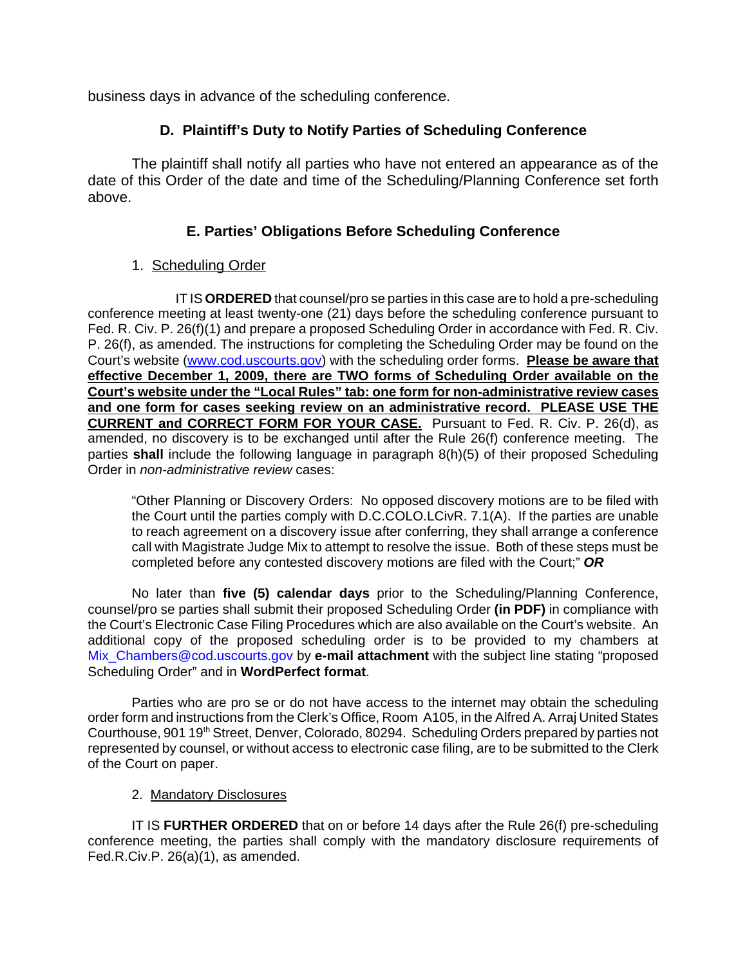business days in advance of the scheduling conference.

## **D. Plaintiff's Duty to Notify Parties of Scheduling Conference**

The plaintiff shall notify all parties who have not entered an appearance as of the date of this Order of the date and time of the Scheduling/Planning Conference set forth above.

## **E. Parties' Obligations Before Scheduling Conference**

### 1. Scheduling Order

IT IS **ORDERED** that counsel/pro se parties in this case are to hold a pre-scheduling conference meeting at least twenty-one (21) days before the scheduling conference pursuant to Fed. R. Civ. P. 26(f)(1) and prepare a proposed Scheduling Order in accordance with Fed. R. Civ. P. 26(f), as amended. The instructions for completing the Scheduling Order may be found on the Court's website (www.cod.uscourts.gov) with the scheduling order forms. **Please be aware that effective December 1, 2009, there are TWO forms of Scheduling Order available on the Court's website under the "Local Rules" tab: one form for non-administrative review cases and one form for cases seeking review on an administrative record. PLEASE USE THE CURRENT and CORRECT FORM FOR YOUR CASE.** Pursuant to Fed. R. Civ. P. 26(d), as amended, no discovery is to be exchanged until after the Rule 26(f) conference meeting. The parties **shall** include the following language in paragraph 8(h)(5) of their proposed Scheduling Order in *non-administrative review* cases:

"Other Planning or Discovery Orders: No opposed discovery motions are to be filed with the Court until the parties comply with D.C.COLO.LCivR. 7.1(A). If the parties are unable to reach agreement on a discovery issue after conferring, they shall arrange a conference call with Magistrate Judge Mix to attempt to resolve the issue. Both of these steps must be completed before any contested discovery motions are filed with the Court;" *OR*

No later than **five (5) calendar days** prior to the Scheduling/Planning Conference, counsel/pro se parties shall submit their proposed Scheduling Order **(in PDF)** in compliance with the Court's Electronic Case Filing Procedures which are also available on the Court's website. An additional copy of the proposed scheduling order is to be provided to my chambers at Mix\_Chambers@cod.uscourts.gov by **e-mail attachment** with the subject line stating "proposed Scheduling Order" and in **WordPerfect format**.

Parties who are pro se or do not have access to the internet may obtain the scheduling order form and instructions from the Clerk's Office, Room A105, in the Alfred A. Arraj United States Courthouse, 901 19<sup>th</sup> Street, Denver, Colorado, 80294. Scheduling Orders prepared by parties not represented by counsel, or without access to electronic case filing, are to be submitted to the Clerk of the Court on paper.

#### 2. Mandatory Disclosures

IT IS **FURTHER ORDERED** that on or before 14 days after the Rule 26(f) pre-scheduling conference meeting, the parties shall comply with the mandatory disclosure requirements of Fed.R.Civ.P. 26(a)(1), as amended.